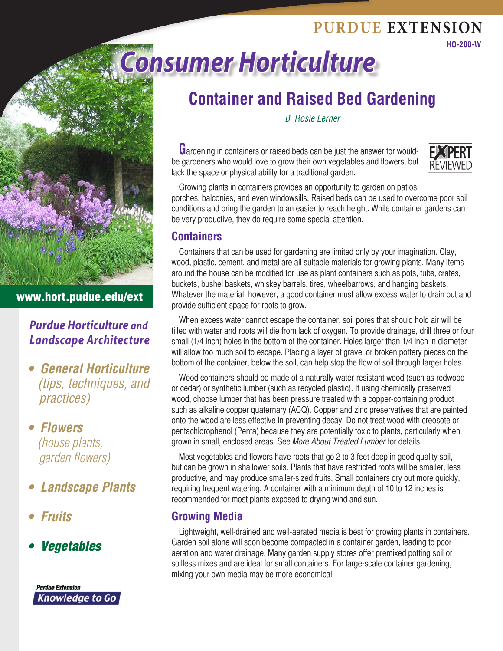# **Consumer According PURDUE EXTENSION**



# **Container and Raised Bed Gardening**

*B. Rosie Lerner* 

Gardening in containers or raised beds can be just the answer for wouldbe gardeners who would love to grow their own vegetables and flowers, but lack the space or physical ability for a traditional garden.



**HO-200-W** 

Growing plants in containers provides an opportunity to garden on patios, porches, balconies, and even windowsills. Raised beds can be used to overcome poor soil conditions and bring the garden to an easier to reach height. While container gardens can be very productive, they do require some special attention.

### **Containers**

Containers that can be used for gardening are limited only by your imagination. Clay, wood, plastic, cement, and metal are all suitable materials for growing plants. Many items around the house can be modified for use as plant containers such as pots, tubs, crates, buckets, bushel baskets, whiskey barrels, tires, wheelbarrows, and hanging baskets. Whatever the material, however, a good container must allow excess water to drain out and provide sufficient space for roots to grow.

When excess water cannot escape the container, soil pores that should hold air will be filled with water and roots will die from lack of oxygen. To provide drainage, drill three or four small (1/4 inch) holes in the bottom of the container. Holes larger than 1/4 inch in diameter will allow too much soil to escape. Placing a layer of gravel or broken pottery pieces on the bottom of the container, below the soil, can help stop the flow of soil through larger holes.

Wood containers should be made of a naturally water-resistant wood (such as redwood or cedar) or synthetic lumber (such as recycled plastic). If using chemically preserved wood, choose lumber that has been pressure treated with a copper-containing product such as alkaline copper quaternary (ACQ). Copper and zinc preservatives that are painted onto the wood are less effective in preventing decay. Do not treat wood with creosote or pentachlorophenol (Penta) because they are potentially toxic to plants, particularly when grown in small, enclosed areas. See More About Treated Lumber for details.

Most vegetables and flowers have roots that go 2 to 3 feet deep in good quality soil, but can be grown in shallower soils. Plants that have restricted roots will be smaller, less productive, and may produce smaller-sized fruits. Small containers dry out more quickly, requiring frequent watering. A container with a minimum depth of 10 to 12 inches is recommended for most plants exposed to drying wind and sun.

### **Growing Media**

Lightweight, well-drained and well-aerated media is best for growing plants in containers. Garden soil alone will soon become compacted in a container garden, leading to poor aeration and water drainage. Many garden supply stores offer premixed potting soil or soilless mixes and are ideal for small containers. For large-scale container gardening, mixing your own media may be more economical.

### www.hort.pudue.edu/ext

## *Purdue Horticulture and Landscape Architecture*

- **General Horticulture**  *(tips, techniques, and practices)*
- **Flowers**  *(house plants, garden flowers)*
- **• Landscape Plants**
- **• Fruits**
- • *Vegetables*

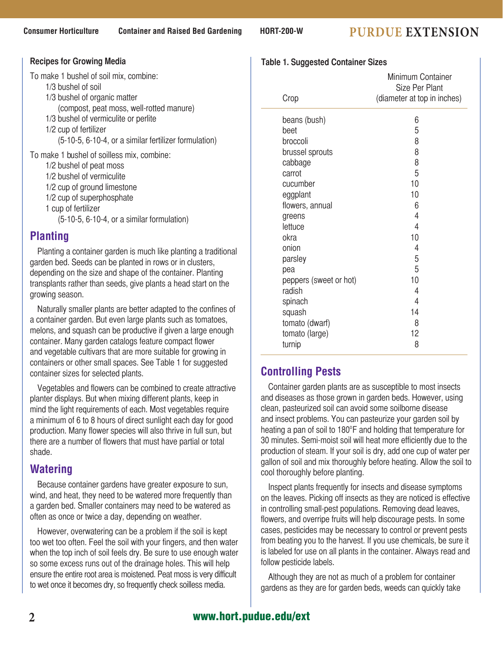## **Consumer Horticulture Container and Raised Bed Gardening HORT-200-W PURDUE EXTENSION**

| <b>Recipes for Growing Media</b>                                                                                                                                                                                                                                   |  |  |  |
|--------------------------------------------------------------------------------------------------------------------------------------------------------------------------------------------------------------------------------------------------------------------|--|--|--|
| To make 1 bushel of soil mix, combine:<br>1/3 bushel of soil<br>1/3 bushel of organic matter<br>(compost, peat moss, well-rotted manure)<br>1/3 bushel of vermiculite or perlite<br>1/2 cup of fertilizer<br>(5-10-5, 6-10-4, or a similar fertilizer formulation) |  |  |  |
| To make 1 bushel of soilless mix, combine:<br>1/2 bushel of peat moss<br>1/2 bushel of vermiculite<br>1/2 cup of ground limestone<br>1/2 cup of superphosphate<br>1 cup of fertilizer<br>$(5-10-5, 6-10-4, or a similar formulation)$                              |  |  |  |

### **Planting**

Planting a container garden is much like planting a traditional garden bed. Seeds can be planted in rows or in clusters, depending on the size and shape of the container. Planting transplants rather than seeds, give plants a head start on the growing season.

Naturally smaller plants are better adapted to the confines of a container garden. But even large plants such as tomatoes, melons, and squash can be productive if given a large enough container. Many garden catalogs feature compact flower and vegetable cultivars that are more suitable for growing in containers or other small spaces. See Table 1 for suggested container sizes for selected plants.

Vegetables and flowers can be combined to create attractive planter displays. But when mixing different plants, keep in mind the light requirements of each. Most vegetables require a minimum of 6 to 8 hours of direct sunlight each day for good production. Many flower species will also thrive in full sun, but there are a number of flowers that must have partial or total shade.

### **Watering**

Because container gardens have greater exposure to sun, wind, and heat, they need to be watered more frequently than a garden bed. Smaller containers may need to be watered as often as once or twice a day, depending on weather.

However, overwatering can be a problem if the soil is kept too wet too often. Feel the soil with your fingers, and then water when the top inch of soil feels dry. Be sure to use enough water so some excess runs out of the drainage holes. This will help ensure the entire root area is moistened. Peat moss is very difficult to wet once it becomes dry, so frequently check soilless media.

#### **Table 1. Suggested Container Sizes**

| Crop                   | Minimum Container<br>Size Per Plant<br>(diameter at top in inches) |
|------------------------|--------------------------------------------------------------------|
|                        | 6                                                                  |
| beans (bush)<br>beet   | 5                                                                  |
| broccoli               | 8                                                                  |
| brussel sprouts        | 8                                                                  |
| cabbage                | 8                                                                  |
| carrot                 | 5                                                                  |
| cucumber               | 10                                                                 |
| eggplant               | 10                                                                 |
| flowers, annual        | 6                                                                  |
| greens                 | 4                                                                  |
| lettuce                | 4                                                                  |
| okra                   | 10                                                                 |
| onion                  | 4                                                                  |
| parsley                | 5                                                                  |
| pea                    | 5                                                                  |
| peppers (sweet or hot) | 10                                                                 |
| radish                 | 4                                                                  |
| spinach                | 4                                                                  |
| squash                 | 14                                                                 |
| tomato (dwarf)         | 8                                                                  |
| tomato (large)         | 12                                                                 |
| turnip                 | 8                                                                  |
|                        |                                                                    |

### **Controlling Pests**

Container garden plants are as susceptible to most insects and diseases as those grown in garden beds. However, using clean, pasteurized soil can avoid some soilborne disease and insect problems. You can pasteurize your garden soil by heating a pan of soil to 180°F and holding that temperature for 30 minutes. Semi-moist soil will heat more efficiently due to the production of steam. If your soil is dry, add one cup of water per gallon of soil and mix thoroughly before heating. Allow the soil to cool thoroughly before planting.

Inspect plants frequently for insects and disease symptoms on the leaves. Picking off insects as they are noticed is effective in controlling small-pest populations. Removing dead leaves, flowers, and overripe fruits will help discourage pests. In some cases, pesticides may be necessary to control or prevent pests from beating you to the harvest. If you use chemicals, be sure it is labeled for use on all plants in the container. Always read and follow pesticide labels.

Although they are not as much of a problem for container gardens as they are for garden beds, weeds can quickly take